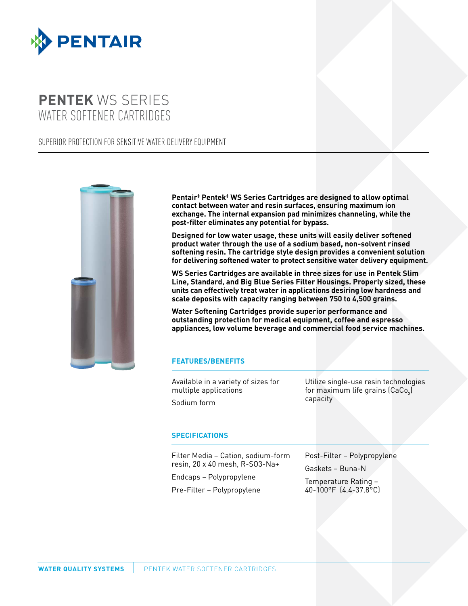

## **PENTEK** WS SERIES WATER SOFTENER CARTRIDGES

SUPERIOR PROTECTION FOR SENSITIVE WATER DELIVERY EQUIPMENT



**Pentair‡ Pentek‡ WS Series Cartridges are designed to allow optimal contact between water and resin surfaces, ensuring maximum ion exchange. The internal expansion pad minimizes channeling, while the post-filter eliminates any potential for bypass.** 

**Designed for low water usage, these units will easily deliver softened product water through the use of a sodium based, non-solvent rinsed softening resin. The cartridge style design provides a convenient solution for delivering softened water to protect sensitive water delivery equipment.**

**WS Series Cartridges are available in three sizes for use in Pentek Slim Line, Standard, and Big Blue Series Filter Housings. Properly sized, these units can effectively treat water in applications desiring low hardness and scale deposits with capacity ranging between 750 to 4,500 grains.**

**Water Softening Cartridges provide superior performance and outstanding protection for medical equipment, coffee and espresso appliances, low volume beverage and commercial food service machines.**

## **FEATURES/BENEFITS**

Available in a variety of sizes for multiple applications

Sodium form

Utilize single-use resin technologies for maximum life grains (CaCo $_{_3}$ ) capacity

## **SPECIFICATIONS**

Filter Media – Cation, sodium-form resin, 20 x 40 mesh, R-SO3-Na+ Endcaps – Polypropylene

Pre-Filter – Polypropylene

Post-Filter – Polypropylene

Gaskets – Buna-N

Temperature Rating – 40-100°F (4.4-37.8°C)